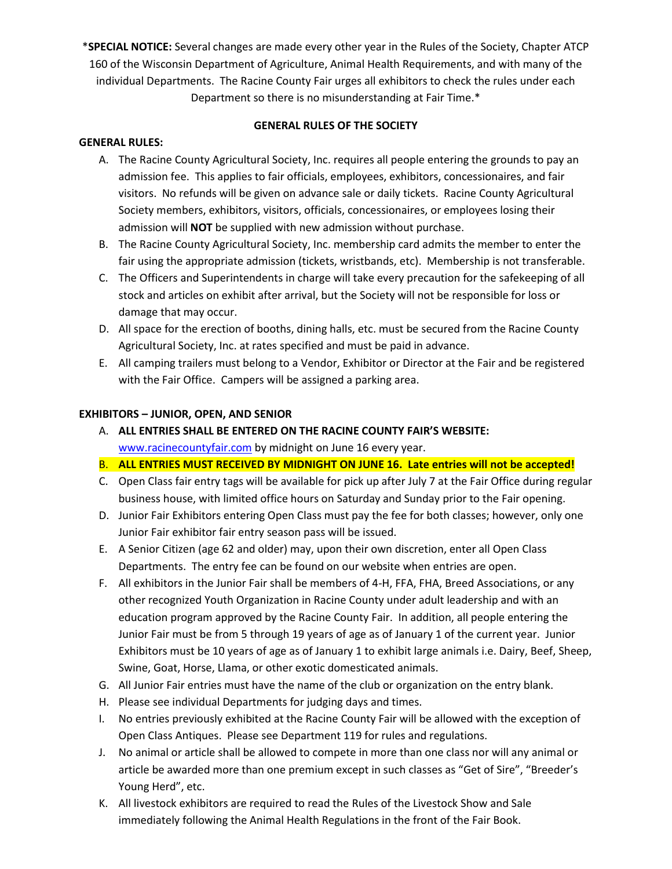\***SPECIAL NOTICE:** Several changes are made every other year in the Rules of the Society, Chapter ATCP 160 of the Wisconsin Department of Agriculture, Animal Health Requirements, and with many of the individual Departments. The Racine County Fair urges all exhibitors to check the rules under each Department so there is no misunderstanding at Fair Time.\*

### **GENERAL RULES OF THE SOCIETY**

## **GENERAL RULES:**

- A. The Racine County Agricultural Society, Inc. requires all people entering the grounds to pay an admission fee. This applies to fair officials, employees, exhibitors, concessionaires, and fair visitors. No refunds will be given on advance sale or daily tickets. Racine County Agricultural Society members, exhibitors, visitors, officials, concessionaires, or employees losing their admission will **NOT** be supplied with new admission without purchase.
- B. The Racine County Agricultural Society, Inc. membership card admits the member to enter the fair using the appropriate admission (tickets, wristbands, etc). Membership is not transferable.
- C. The Officers and Superintendents in charge will take every precaution for the safekeeping of all stock and articles on exhibit after arrival, but the Society will not be responsible for loss or damage that may occur.
- D. All space for the erection of booths, dining halls, etc. must be secured from the Racine County Agricultural Society, Inc. at rates specified and must be paid in advance.
- E. All camping trailers must belong to a Vendor, Exhibitor or Director at the Fair and be registered with the Fair Office. Campers will be assigned a parking area.

# **EXHIBITORS – JUNIOR, OPEN, AND SENIOR**

- A. **ALL ENTRIES SHALL BE ENTERED ON THE RACINE COUNTY FAIR'S WEBSITE:**  [www.racinecountyfair.com](http://www.racinecountyfair.com/) by midnight on June 16 every year.
- B. **ALL ENTRIES MUST RECEIVED BY MIDNIGHT ON JUNE 16. Late entries will not be accepted!**
- C. Open Class fair entry tags will be available for pick up after July 7 at the Fair Office during regular business house, with limited office hours on Saturday and Sunday prior to the Fair opening.
- D. Junior Fair Exhibitors entering Open Class must pay the fee for both classes; however, only one Junior Fair exhibitor fair entry season pass will be issued.
- E. A Senior Citizen (age 62 and older) may, upon their own discretion, enter all Open Class Departments. The entry fee can be found on our website when entries are open.
- F. All exhibitors in the Junior Fair shall be members of 4-H, FFA, FHA, Breed Associations, or any other recognized Youth Organization in Racine County under adult leadership and with an education program approved by the Racine County Fair. In addition, all people entering the Junior Fair must be from 5 through 19 years of age as of January 1 of the current year. Junior Exhibitors must be 10 years of age as of January 1 to exhibit large animals i.e. Dairy, Beef, Sheep, Swine, Goat, Horse, Llama, or other exotic domesticated animals.
- G. All Junior Fair entries must have the name of the club or organization on the entry blank.
- H. Please see individual Departments for judging days and times.
- I. No entries previously exhibited at the Racine County Fair will be allowed with the exception of Open Class Antiques. Please see Department 119 for rules and regulations.
- J. No animal or article shall be allowed to compete in more than one class nor will any animal or article be awarded more than one premium except in such classes as "Get of Sire", "Breeder's Young Herd", etc.
- K. All livestock exhibitors are required to read the Rules of the Livestock Show and Sale immediately following the Animal Health Regulations in the front of the Fair Book.